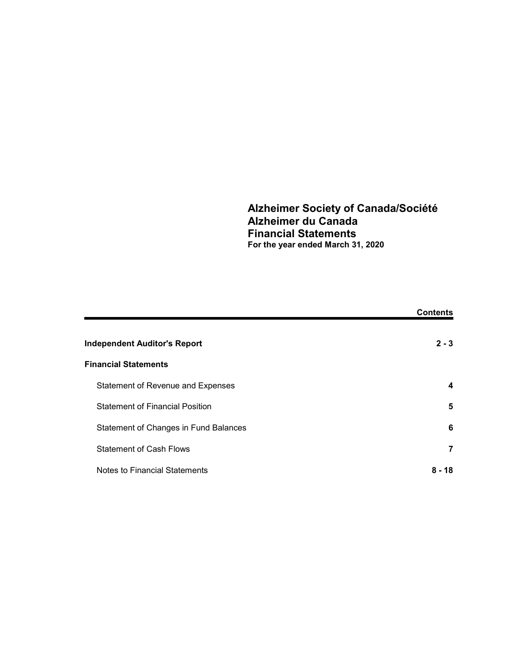# Alzheimer Society of Canada/Société Alzheimer du Canada Financial Statements For the year ended March 31, 2020

|                                        | <b>Contents</b> |
|----------------------------------------|-----------------|
| <b>Independent Auditor's Report</b>    | $2 - 3$         |
| <b>Financial Statements</b>            |                 |
| Statement of Revenue and Expenses      | 4               |
| <b>Statement of Financial Position</b> | 5               |
| Statement of Changes in Fund Balances  | 6               |
| <b>Statement of Cash Flows</b>         | 7               |
| Notes to Financial Statements          | - 18            |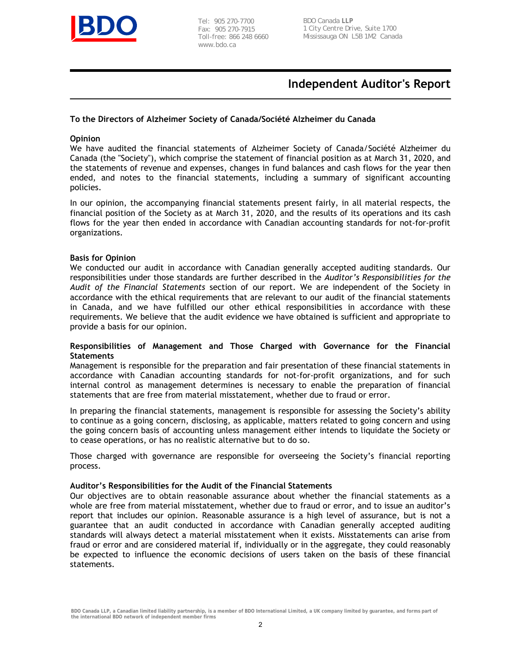

Tel: 905 270-7700 Fax: 905 270-7915 Toll-free: 866 248 6660 www.bdo.ca

# Independent Auditor's Report

# To the Directors of Alzheimer Society of Canada/Société Alzheimer du Canada

## Opinion

We have audited the financial statements of Alzheimer Society of Canada/Société Alzheimer du Canada (the "Society"), which comprise the statement of financial position as at March 31, 2020, and the statements of revenue and expenses, changes in fund balances and cash flows for the year then ended, and notes to the financial statements, including a summary of significant accounting policies.

In our opinion, the accompanying financial statements present fairly, in all material respects, the financial position of the Society as at March 31, 2020, and the results of its operations and its cash flows for the year then ended in accordance with Canadian accounting standards for not-for-profit organizations.

### Basis for Opinion

We conducted our audit in accordance with Canadian generally accepted auditing standards. Our responsibilities under those standards are further described in the Auditor's Responsibilities for the Audit of the Financial Statements section of our report. We are independent of the Society in accordance with the ethical requirements that are relevant to our audit of the financial statements in Canada, and we have fulfilled our other ethical responsibilities in accordance with these requirements. We believe that the audit evidence we have obtained is sufficient and appropriate to provide a basis for our opinion.

### Responsibilities of Management and Those Charged with Governance for the Financial **Statements**

Management is responsible for the preparation and fair presentation of these financial statements in accordance with Canadian accounting standards for not-for-profit organizations, and for such internal control as management determines is necessary to enable the preparation of financial statements that are free from material misstatement, whether due to fraud or error.

In preparing the financial statements, management is responsible for assessing the Society's ability to continue as a going concern, disclosing, as applicable, matters related to going concern and using the going concern basis of accounting unless management either intends to liquidate the Society or to cease operations, or has no realistic alternative but to do so.

Those charged with governance are responsible for overseeing the Society's financial reporting process.

### Auditor's Responsibilities for the Audit of the Financial Statements

Our objectives are to obtain reasonable assurance about whether the financial statements as a whole are free from material misstatement, whether due to fraud or error, and to issue an auditor's report that includes our opinion. Reasonable assurance is a high level of assurance, but is not a guarantee that an audit conducted in accordance with Canadian generally accepted auditing standards will always detect a material misstatement when it exists. Misstatements can arise from fraud or error and are considered material if, individually or in the aggregate, they could reasonably be expected to influence the economic decisions of users taken on the basis of these financial statements.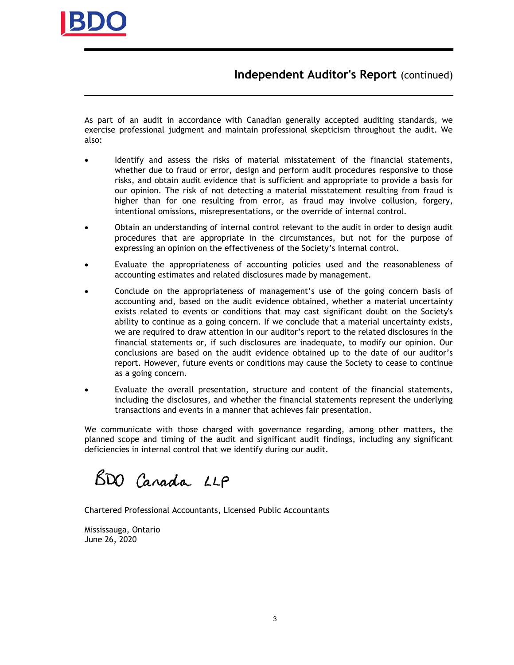# Independent Auditor's Report (continued)

As part of an audit in accordance with Canadian generally accepted auditing standards, we exercise professional judgment and maintain professional skepticism throughout the audit. We also:

- Identify and assess the risks of material misstatement of the financial statements, whether due to fraud or error, design and perform audit procedures responsive to those risks, and obtain audit evidence that is sufficient and appropriate to provide a basis for our opinion. The risk of not detecting a material misstatement resulting from fraud is higher than for one resulting from error, as fraud may involve collusion, forgery, intentional omissions, misrepresentations, or the override of internal control.
- Obtain an understanding of internal control relevant to the audit in order to design audit procedures that are appropriate in the circumstances, but not for the purpose of expressing an opinion on the effectiveness of the Society's internal control.
- Evaluate the appropriateness of accounting policies used and the reasonableness of accounting estimates and related disclosures made by management.
- Conclude on the appropriateness of management's use of the going concern basis of accounting and, based on the audit evidence obtained, whether a material uncertainty exists related to events or conditions that may cast significant doubt on the Society's ability to continue as a going concern. If we conclude that a material uncertainty exists, we are required to draw attention in our auditor's report to the related disclosures in the financial statements or, if such disclosures are inadequate, to modify our opinion. Our conclusions are based on the audit evidence obtained up to the date of our auditor's report. However, future events or conditions may cause the Society to cease to continue as a going concern.
- Evaluate the overall presentation, structure and content of the financial statements, including the disclosures, and whether the financial statements represent the underlying transactions and events in a manner that achieves fair presentation.

We communicate with those charged with governance regarding, among other matters, the planned scope and timing of the audit and significant audit findings, including any significant deficiencies in internal control that we identify during our audit.

BDO Canada LLP

Chartered Professional Accountants, Licensed Public Accountants

Mississauga, Ontario June 26, 2020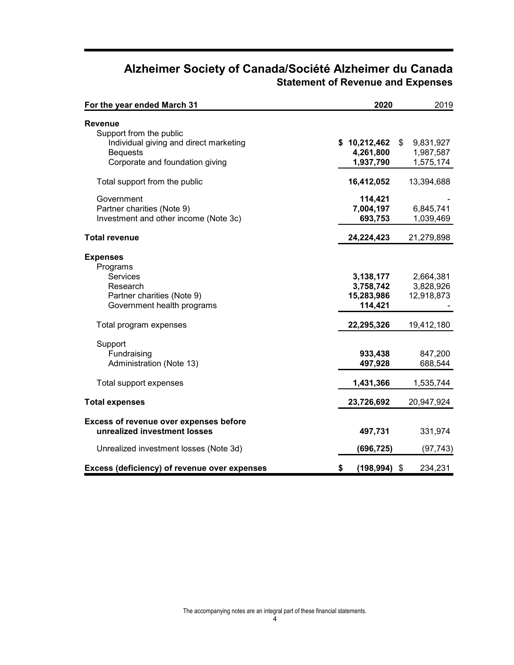# Alzheimer Society of Canada/Société Alzheimer du Canada Statement of Revenue and Expenses

| For the year ended March 31                                                                            | 2020                            | 2019                         |
|--------------------------------------------------------------------------------------------------------|---------------------------------|------------------------------|
| <b>Revenue</b><br>Support from the public<br>Individual giving and direct marketing<br><b>Bequests</b> | \$10,212,462<br>4,261,800       | \$<br>9,831,927<br>1,987,587 |
| Corporate and foundation giving                                                                        | 1,937,790                       | 1,575,174                    |
| Total support from the public                                                                          | 16,412,052                      | 13,394,688                   |
| Government<br>Partner charities (Note 9)<br>Investment and other income (Note 3c)                      | 114,421<br>7,004,197<br>693,753 | 6,845,741<br>1,039,469       |
| <b>Total revenue</b>                                                                                   | 24,224,423                      | 21,279,898                   |
| <b>Expenses</b><br>Programs<br><b>Services</b><br>Research                                             | 3,138,177<br>3,758,742          | 2,664,381<br>3,828,926       |
| Partner charities (Note 9)<br>Government health programs                                               | 15,283,986<br>114,421           | 12,918,873                   |
| Total program expenses                                                                                 | 22,295,326                      | 19,412,180                   |
| Support<br>Fundraising<br>Administration (Note 13)                                                     | 933,438<br>497,928              | 847,200<br>688,544           |
| Total support expenses                                                                                 | 1,431,366                       | 1,535,744                    |
| <b>Total expenses</b>                                                                                  | 23,726,692                      | 20,947,924                   |
| Excess of revenue over expenses before<br>unrealized investment losses                                 | 497,731                         | 331,974                      |
| Unrealized investment losses (Note 3d)                                                                 | (696, 725)                      | (97, 743)                    |
| Excess (deficiency) of revenue over expenses                                                           | $(198, 994)$ \$<br>\$           | 234,231                      |

The accompanying notes are an integral part of these financial statements.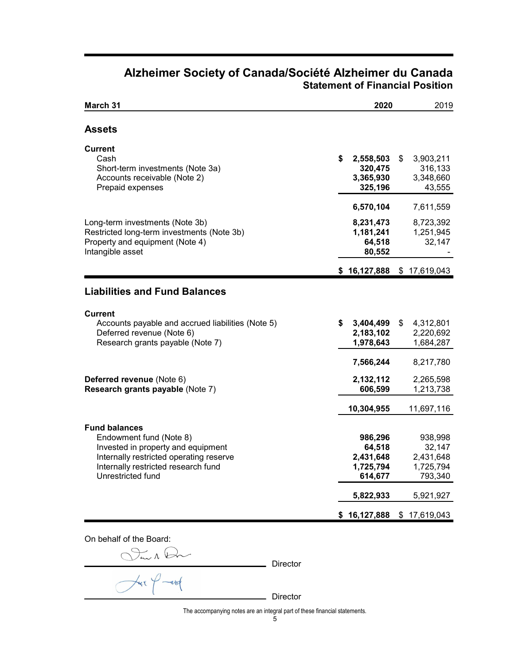| March 31                                                                                                                                                                                     | 2020 |                                                         |    | 2019                                                   |
|----------------------------------------------------------------------------------------------------------------------------------------------------------------------------------------------|------|---------------------------------------------------------|----|--------------------------------------------------------|
| Assets                                                                                                                                                                                       |      |                                                         |    |                                                        |
| Current<br>Cash<br>Short-term investments (Note 3a)<br>Accounts receivable (Note 2)<br>Prepaid expenses                                                                                      | \$   | 2,558,503<br>320,475<br>3,365,930<br>325,196            | \$ | 3,903,211<br>316,133<br>3,348,660<br>43,555            |
| Long-term investments (Note 3b)<br>Restricted long-term investments (Note 3b)<br>Property and equipment (Note 4)<br>Intangible asset                                                         |      | 6,570,104<br>8,231,473<br>1,181,241<br>64,518<br>80,552 |    | 7,611,559<br>8,723,392<br>1,251,945<br>32,147          |
|                                                                                                                                                                                              |      | \$16,127,888                                            |    | \$17,619,043                                           |
| <b>Liabilities and Fund Balances</b>                                                                                                                                                         |      |                                                         |    |                                                        |
| <b>Current</b><br>Accounts payable and accrued liabilities (Note 5)<br>Deferred revenue (Note 6)<br>Research grants payable (Note 7)                                                         | \$   | 3,404,499<br>2,183,102<br>1,978,643                     | \$ | 4,312,801<br>2,220,692<br>1,684,287                    |
|                                                                                                                                                                                              |      | 7,566,244                                               |    | 8,217,780                                              |
| Deferred revenue (Note 6)<br>Research grants payable (Note 7)                                                                                                                                |      | 2,132,112<br>606,599                                    |    | 2,265,598<br>1,213,738                                 |
|                                                                                                                                                                                              |      | 10,304,955                                              |    | 11,697,116                                             |
| <b>Fund balances</b><br>Endowment fund (Note 8)<br>Invested in property and equipment<br>Internally restricted operating reserve<br>Internally restricted research fund<br>Unrestricted fund |      | 986,296<br>64,518<br>2,431,648<br>1,725,794<br>614,677  |    | 938,998<br>32,147<br>2,431,648<br>1,725,794<br>793,340 |
|                                                                                                                                                                                              |      | 5,822,933                                               |    | 5,921,927                                              |
|                                                                                                                                                                                              |      | \$16,127,888                                            |    | \$17,619,043                                           |

# Alzheimer Society of Canada/Société Alzheimer du Canada Statement of Financial Position

. Director

On behalf of the Board:<br> $\frac{1}{\sqrt{4\pi}}\sqrt{4\pi}$ 

. Director

The accompanying notes are an integral part of these financial statements.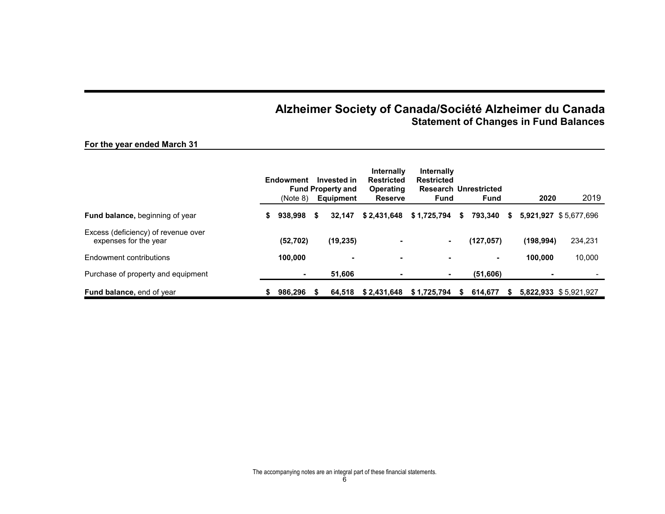# Alzheimer Society of Canada/Société Alzheimer du Canada Statement of Changes in Fund Balances

# For the year ended March 31

|                                                              |    | Endowment<br>(Note 8) |   | Invested in<br><b>Fund Property and</b><br><b>Equipment</b> | Internally<br><b>Restricted</b><br>Operating<br><b>Reserve</b> | Internally<br><b>Restricted</b><br><b>Fund</b> |    | <b>Research Unrestricted</b><br><b>Fund</b> |    | 2020       | 2019                  |
|--------------------------------------------------------------|----|-----------------------|---|-------------------------------------------------------------|----------------------------------------------------------------|------------------------------------------------|----|---------------------------------------------|----|------------|-----------------------|
| <b>Fund balance, beginning of year</b>                       | \$ | 938.998               | S | 32,147                                                      | \$2.431.648                                                    | \$1,725,794                                    | s. | 793.340                                     | S. |            | 5,921,927 \$5,677,696 |
| Excess (deficiency) of revenue over<br>expenses for the year |    | (52, 702)             |   | (19, 235)                                                   |                                                                | $\blacksquare$                                 |    | (127, 057)                                  |    | (198, 994) | 234,231               |
| Endowment contributions                                      |    | 100.000               |   | -                                                           | $\blacksquare$                                                 |                                                |    | ۰                                           |    | 100.000    | 10,000                |
| Purchase of property and equipment                           |    |                       |   | 51,606                                                      |                                                                | ٠                                              |    | (51,606)                                    |    |            |                       |
| <b>Fund balance, end of year</b>                             | S  | 986.296               | S | 64,518                                                      | \$2,431,648                                                    | \$1,725,794                                    | s. | 614.677                                     | S. |            | 5,822,933 \$5,921,927 |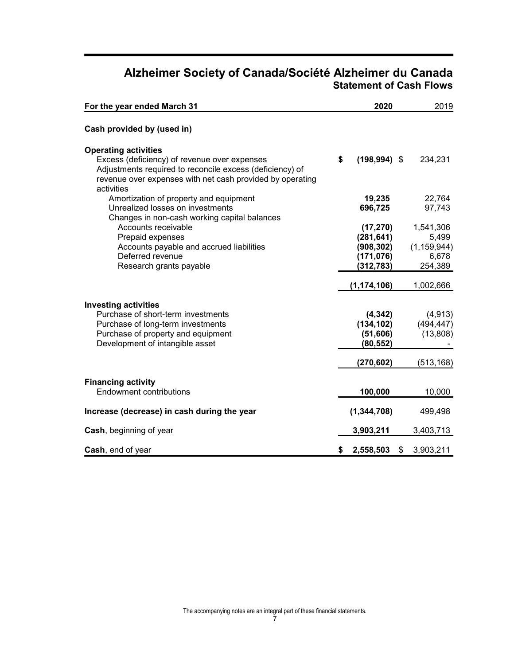# Alzheimer Society of Canada/Société Alzheimer du Canada Statement of Cash Flows

| For the year ended March 31                                                                                                         | 2020                  | 2019            |
|-------------------------------------------------------------------------------------------------------------------------------------|-----------------------|-----------------|
| Cash provided by (used in)                                                                                                          |                       |                 |
| <b>Operating activities</b><br>Excess (deficiency) of revenue over expenses                                                         | \$<br>$(198, 994)$ \$ | 234,231         |
| Adjustments required to reconcile excess (deficiency) of<br>revenue over expenses with net cash provided by operating<br>activities |                       |                 |
| Amortization of property and equipment                                                                                              | 19,235                | 22,764          |
| Unrealized losses on investments<br>Changes in non-cash working capital balances                                                    | 696,725               | 97,743          |
| Accounts receivable                                                                                                                 | (17, 270)             | 1,541,306       |
| Prepaid expenses                                                                                                                    | (281, 641)            | 5,499           |
| Accounts payable and accrued liabilities                                                                                            | (908, 302)            | (1, 159, 944)   |
| Deferred revenue                                                                                                                    | (171, 076)            | 6,678           |
| Research grants payable                                                                                                             | (312, 783)            | 254,389         |
|                                                                                                                                     | (1, 174, 106)         | 1,002,666       |
| <b>Investing activities</b>                                                                                                         |                       |                 |
| Purchase of short-term investments                                                                                                  | (4, 342)              | (4, 913)        |
| Purchase of long-term investments                                                                                                   | (134, 102)            | (494, 447)      |
| Purchase of property and equipment                                                                                                  | (51,606)              | (13,808)        |
| Development of intangible asset                                                                                                     | (80, 552)             |                 |
|                                                                                                                                     | (270, 602)            | (513, 168)      |
|                                                                                                                                     |                       |                 |
| <b>Financing activity</b><br><b>Endowment contributions</b>                                                                         | 100,000               | 10,000          |
| Increase (decrease) in cash during the year                                                                                         | (1, 344, 708)         | 499,498         |
| Cash, beginning of year                                                                                                             | 3,903,211             | 3,403,713       |
| Cash, end of year                                                                                                                   | \$<br>2,558,503       | \$<br>3,903,211 |

The accompanying notes are an integral part of these financial statements.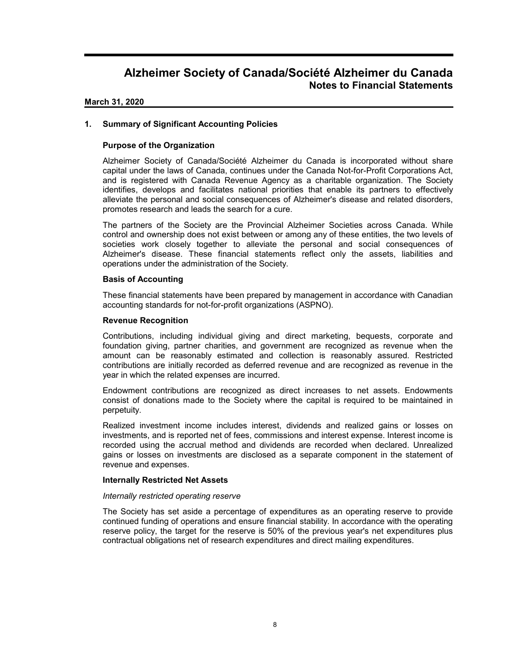## March 31, 2020

## 1. Summary of Significant Accounting Policies

### Purpose of the Organization

Alzheimer Society of Canada/Société Alzheimer du Canada is incorporated without share capital under the laws of Canada, continues under the Canada Not-for-Profit Corporations Act, and is registered with Canada Revenue Agency as a charitable organization. The Society identifies, develops and facilitates national priorities that enable its partners to effectively alleviate the personal and social consequences of Alzheimer's disease and related disorders, promotes research and leads the search for a cure.

The partners of the Society are the Provincial Alzheimer Societies across Canada. While control and ownership does not exist between or among any of these entities, the two levels of societies work closely together to alleviate the personal and social consequences of Alzheimer's disease. These financial statements reflect only the assets, liabilities and operations under the administration of the Society.

### Basis of Accounting

These financial statements have been prepared by management in accordance with Canadian accounting standards for not-for-profit organizations (ASPNO).

### Revenue Recognition

Contributions, including individual giving and direct marketing, bequests, corporate and foundation giving, partner charities, and government are recognized as revenue when the amount can be reasonably estimated and collection is reasonably assured. Restricted contributions are initially recorded as deferred revenue and are recognized as revenue in the year in which the related expenses are incurred.

Endowment contributions are recognized as direct increases to net assets. Endowments consist of donations made to the Society where the capital is required to be maintained in perpetuity.

Realized investment income includes interest, dividends and realized gains or losses on investments, and is reported net of fees, commissions and interest expense. Interest income is recorded using the accrual method and dividends are recorded when declared. Unrealized gains or losses on investments are disclosed as a separate component in the statement of revenue and expenses.

### Internally Restricted Net Assets

### Internally restricted operating reserve

The Society has set aside a percentage of expenditures as an operating reserve to provide continued funding of operations and ensure financial stability. In accordance with the operating reserve policy, the target for the reserve is 50% of the previous year's net expenditures plus contractual obligations net of research expenditures and direct mailing expenditures.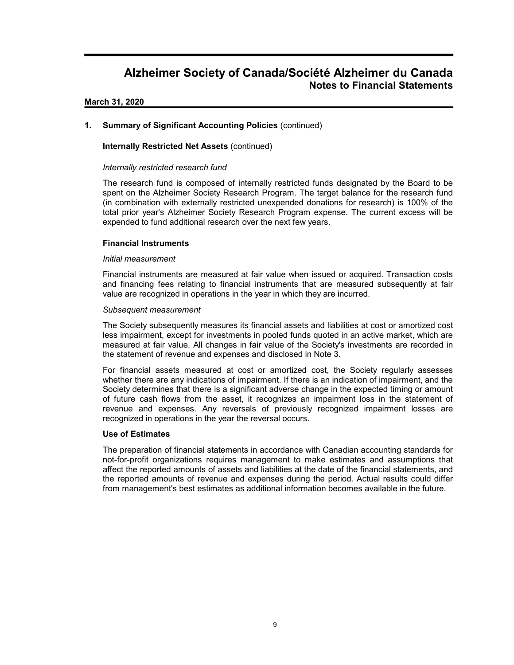## March 31, 2020

### 1. Summary of Significant Accounting Policies (continued)

Internally Restricted Net Assets (continued)

### Internally restricted research fund

The research fund is composed of internally restricted funds designated by the Board to be spent on the Alzheimer Society Research Program. The target balance for the research fund (in combination with externally restricted unexpended donations for research) is 100% of the total prior year's Alzheimer Society Research Program expense. The current excess will be expended to fund additional research over the next few years.

### Financial Instruments

### Initial measurement

Financial instruments are measured at fair value when issued or acquired. Transaction costs and financing fees relating to financial instruments that are measured subsequently at fair value are recognized in operations in the year in which they are incurred.

#### Subsequent measurement

The Society subsequently measures its financial assets and liabilities at cost or amortized cost less impairment, except for investments in pooled funds quoted in an active market, which are measured at fair value. All changes in fair value of the Society's investments are recorded in the statement of revenue and expenses and disclosed in Note 3.

For financial assets measured at cost or amortized cost, the Society regularly assesses whether there are any indications of impairment. If there is an indication of impairment, and the Society determines that there is a significant adverse change in the expected timing or amount of future cash flows from the asset, it recognizes an impairment loss in the statement of revenue and expenses. Any reversals of previously recognized impairment losses are recognized in operations in the year the reversal occurs.

### Use of Estimates

The preparation of financial statements in accordance with Canadian accounting standards for not-for-profit organizations requires management to make estimates and assumptions that affect the reported amounts of assets and liabilities at the date of the financial statements, and the reported amounts of revenue and expenses during the period. Actual results could differ from management's best estimates as additional information becomes available in the future.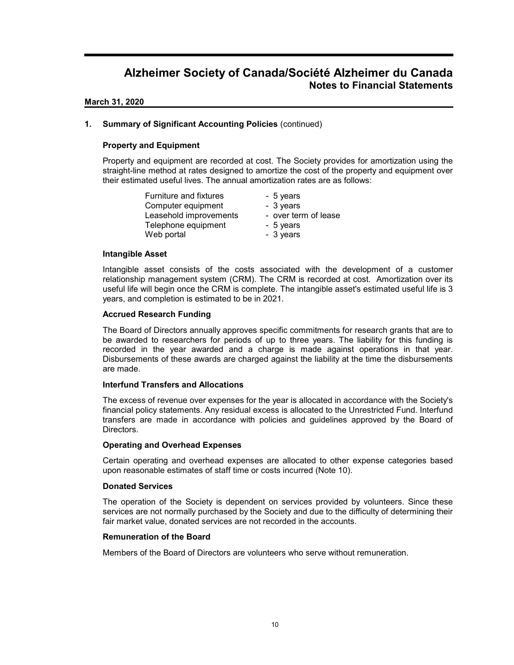## March 31, 2020

## 1. Summary of Significant Accounting Policies (continued)

### Property and Equipment

Property and equipment are recorded at cost. The Society provides for amortization using the straight-line method at rates designed to amortize the cost of the property and equipment over their estimated useful lives. The annual amortization rates are as follows:

| Furniture and fixtures | - 5 years            |
|------------------------|----------------------|
| Computer equipment     | - 3 years            |
| Leasehold improvements | - over term of lease |
| Telephone equipment    | - 5 years            |
| Web portal             | - 3 years            |

### Intangible Asset

Intangible asset consists of the costs associated with the development of a customer relationship management system (CRM). The CRM is recorded at cost. Amortization over its useful life will begin once the CRM is complete. The intangible asset's estimated useful life is 3 years, and completion is estimated to be in 2021.

### Accrued Research Funding

The Board of Directors annually approves specific commitments for research grants that are to be awarded to researchers for periods of up to three years. The liability for this funding is recorded in the year awarded and a charge is made against operations in that year. Disbursements of these awards are charged against the liability at the time the disbursements are made.

### Interfund Transfers and Allocations

The excess of revenue over expenses for the year is allocated in accordance with the Society's financial policy statements. Any residual excess is allocated to the Unrestricted Fund. Interfund transfers are made in accordance with policies and guidelines approved by the Board of Directors.

### Operating and Overhead Expenses

Certain operating and overhead expenses are allocated to other expense categories based upon reasonable estimates of staff time or costs incurred (Note 10).

## Donated Services

The operation of the Society is dependent on services provided by volunteers. Since these services are not normally purchased by the Society and due to the difficulty of determining their fair market value, donated services are not recorded in the accounts.

### Remuneration of the Board

Members of the Board of Directors are volunteers who serve without remuneration.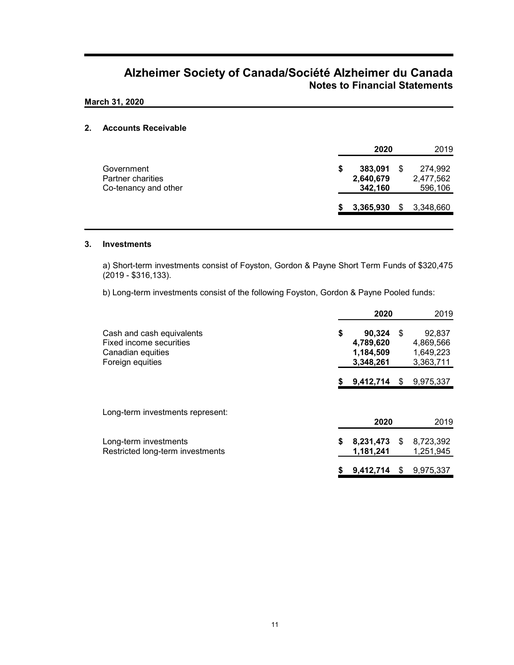# March 31, 2020

# 2. Accounts Receivable

|                                                                |   | 2020                            | 2019 |                                 |
|----------------------------------------------------------------|---|---------------------------------|------|---------------------------------|
| Government<br><b>Partner charities</b><br>Co-tenancy and other | S | 383,091<br>2,640,679<br>342,160 | S    | 274,992<br>2,477,562<br>596,106 |
|                                                                |   | 3,365,930                       | S    | 3,348,660                       |

## 3. Investments

a) Short-term investments consist of Foyston, Gordon & Payne Short Term Funds of \$320,475 (2019 - \$316,133).

b) Long-term investments consist of the following Foyston, Gordon & Payne Pooled funds:

|                                                                                               | 2020 |                                               |   | 2019                                          |
|-----------------------------------------------------------------------------------------------|------|-----------------------------------------------|---|-----------------------------------------------|
| Cash and cash equivalents<br>Fixed income securities<br>Canadian equities<br>Foreign equities | \$   | 90,324<br>4,789,620<br>1,184,509<br>3,348,261 | S | 92,837<br>4,869,566<br>1,649,223<br>3,363,711 |
|                                                                                               | S    | 9,412,714                                     | S | 9,975,337                                     |
| Long-term investments represent:                                                              |      | 2020                                          |   | 2019                                          |
| Long-term investments<br>Restricted long-term investments                                     | \$   | 8,231,473<br>1,181,241                        | S | 8,723,392<br>1,251,945                        |
|                                                                                               |      | 9,412,714                                     | S | 9,975,337                                     |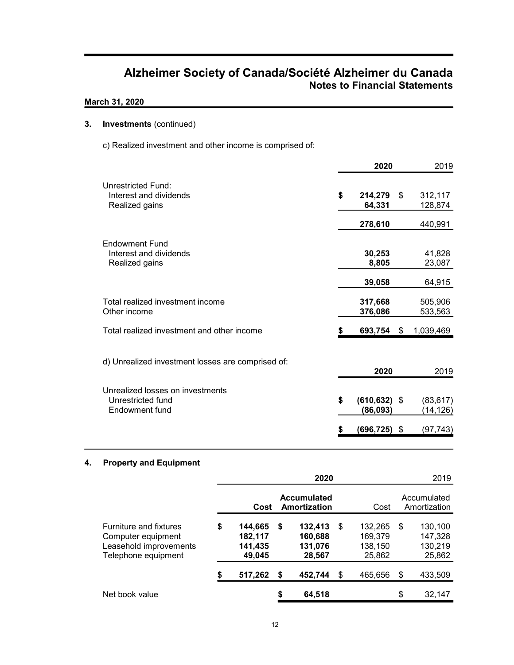# March 31, 2020

# 3. Investments (continued)

c) Realized investment and other income is comprised of:

|                                                                         | 2020                              | 2019                     |
|-------------------------------------------------------------------------|-----------------------------------|--------------------------|
| Unrestricted Fund:<br>Interest and dividends<br>Realized gains          | \$<br>214,279<br>64,331           | \$<br>312,117<br>128,874 |
|                                                                         | 278,610                           | 440.991                  |
| <b>Endowment Fund</b><br>Interest and dividends<br>Realized gains       | 30,253<br>8,805                   | 41,828<br>23,087         |
|                                                                         | 39,058                            | 64,915                   |
| Total realized investment income<br>Other income                        | 317,668<br>376,086                | 505,906<br>533,563       |
| Total realized investment and other income                              | 693,754 \$                        | 1,039,469                |
| d) Unrealized investment losses are comprised of:                       | 2020                              | 2019                     |
| Unrealized losses on investments<br>Unrestricted fund<br>Endowment fund | \$<br>$(610, 632)$ \$<br>(86,093) | (83, 617)<br>(14,126)    |
|                                                                         | \$<br>$(696, 725)$ \$             | (97,743)                 |

# 4. Property and Equipment

|                                                                                               |                                               |    | 2020                                    |   |                                         |    | 2019                                    |
|-----------------------------------------------------------------------------------------------|-----------------------------------------------|----|-----------------------------------------|---|-----------------------------------------|----|-----------------------------------------|
|                                                                                               | Cost                                          |    | Accumulated<br>Amortization             |   | Cost                                    |    | Accumulated<br>Amortization             |
| Furniture and fixtures<br>Computer equipment<br>Leasehold improvements<br>Telephone equipment | \$<br>144,665<br>182,117<br>141,435<br>49,045 | \$ | 132,413<br>160,688<br>131,076<br>28,567 | S | 132,265<br>169,379<br>138,150<br>25,862 | S  | 130,100<br>147,328<br>130,219<br>25,862 |
|                                                                                               | 517,262                                       | S  | 452,744                                 | S | 465,656                                 | S  | 433,509                                 |
| Net book value                                                                                |                                               | \$ | 64,518                                  |   |                                         | \$ | 32,147                                  |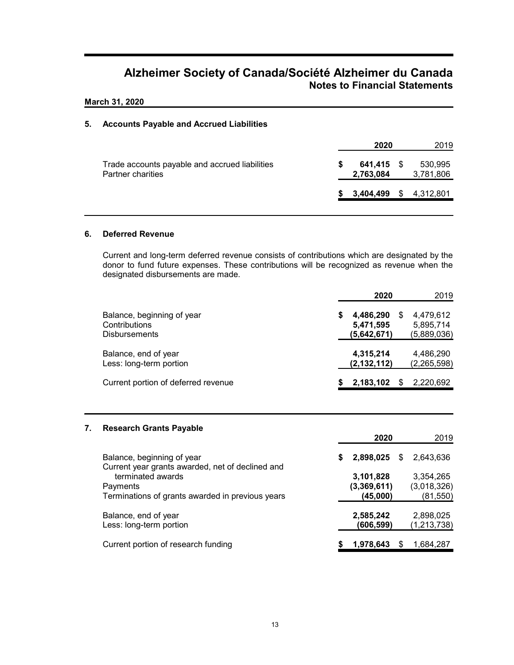# March 31, 2020

# 5. Accounts Payable and Accrued Liabilities

|                                                                     |                         | 2020                          | 2019                 |  |
|---------------------------------------------------------------------|-------------------------|-------------------------------|----------------------|--|
| Trade accounts payable and accrued liabilities<br>Partner charities | 641,415 \$<br>2,763,084 |                               | 530,995<br>3,781,806 |  |
|                                                                     |                         | <b>3,404,499</b> \$ 4,312,801 |                      |  |
|                                                                     |                         |                               |                      |  |

# 6. Deferred Revenue

Current and long-term deferred revenue consists of contributions which are designated by the donor to fund future expenses. These contributions will be recognized as revenue when the designated disbursements are made.

|                                                                     |   | 2020                                  | 2019 |                                       |
|---------------------------------------------------------------------|---|---------------------------------------|------|---------------------------------------|
| Balance, beginning of year<br>Contributions<br><b>Disbursements</b> | S | 4,486,290<br>5,471,595<br>(5,642,671) |      | 4,479,612<br>5,895,714<br>(5,889,036) |
| Balance, end of year<br>Less: long-term portion                     |   | 4,315,214<br>(2, 132, 112)            |      | 4,486,290<br>(2, 265, 598)            |
| Current portion of deferred revenue                                 |   | 2,183,102                             |      | 2,220,692                             |

# 7. Research Grants Payable

| Balance, beginning of year<br>Current year grants awarded, net of declined and    | S. | 2,898,025 \$                         | 2.643.636                             |
|-----------------------------------------------------------------------------------|----|--------------------------------------|---------------------------------------|
| terminated awards<br>Payments<br>Terminations of grants awarded in previous years |    | 3,101,828<br>(3,369,611)<br>(45,000) | 3,354,265<br>(3,018,326)<br>(81, 550) |
| Balance, end of year<br>Less: long-term portion                                   |    | 2,585,242<br>(606,599)               | 2,898,025<br>(1,213,738)              |
| Current portion of research funding                                               |    | 1,978,643                            | 1,684,287                             |

2020 2019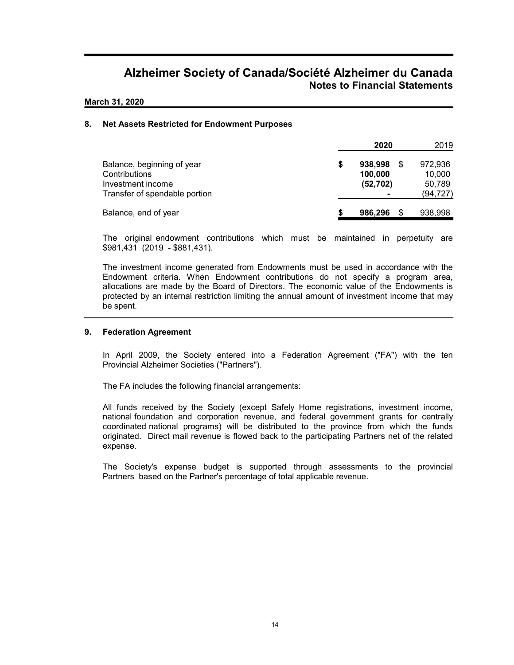## March 31, 2020

# 8. Net Assets Restricted for Endowment Purposes

|                                             |   | 2020               |   | 2019              |
|---------------------------------------------|---|--------------------|---|-------------------|
| Balance, beginning of year<br>Contributions | S | 938,998<br>100,000 | S | 972,936<br>10,000 |
| Investment income                           |   | (52, 702)          |   | 50,789            |
| Transfer of spendable portion               |   |                    |   | (94,727)          |
| Balance, end of year                        | S | 986,296            |   | 938,998           |

The original endowment contributions which must be maintained in perpetuity are \$981,431 (2019 - \$881,431).

The investment income generated from Endowments must be used in accordance with the Endowment criteria. When Endowment contributions do not specify a program area, allocations are made by the Board of Directors. The economic value of the Endowments is protected by an internal restriction limiting the annual amount of investment income that may be spent.

# 9. Federation Agreement

In April 2009, the Society entered into a Federation Agreement ("FA") with the ten Provincial Alzheimer Societies ("Partners").

The FA includes the following financial arrangements:

All funds received by the Society (except Safely Home registrations, investment income, national foundation and corporation revenue, and federal government grants for centrally coordinated national programs) will be distributed to the province from which the funds originated. Direct mail revenue is flowed back to the participating Partners net of the related expense.

The Society's expense budget is supported through assessments to the provincial Partners based on the Partner's percentage of total applicable revenue.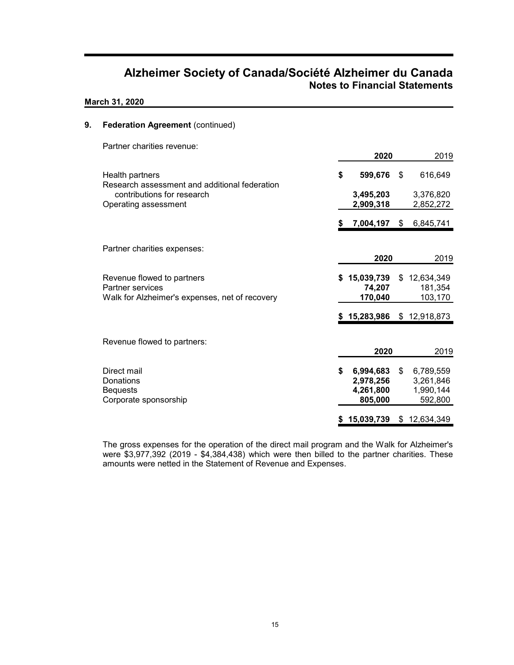# March 31, 2020

# 9. Federation Agreement (continued)

Partner charities revenue:

|                                                                  |    | 2020         |    | 2019         |  |
|------------------------------------------------------------------|----|--------------|----|--------------|--|
| Health partners<br>Research assessment and additional federation | \$ | 599,676      | \$ | 616,649      |  |
| contributions for research                                       |    | 3,495,203    |    | 3,376,820    |  |
| Operating assessment                                             |    | 2,909,318    |    | 2,852,272    |  |
|                                                                  | \$ | 7,004,197    | S  | 6,845,741    |  |
| Partner charities expenses:                                      |    |              |    |              |  |
|                                                                  |    | 2020         |    | 2019         |  |
| Revenue flowed to partners                                       |    | \$15,039,739 | \$ | 12,634,349   |  |
| <b>Partner services</b>                                          |    | 74,207       |    | 181,354      |  |
| Walk for Alzheimer's expenses, net of recovery                   |    | 170,040      |    | 103,170      |  |
|                                                                  |    | \$15,283,986 |    | \$12,918,873 |  |
| Revenue flowed to partners:                                      |    |              |    |              |  |
|                                                                  |    | 2020         |    | 2019         |  |
| Direct mail                                                      | \$ | 6,994,683    | \$ | 6,789,559    |  |
| Donations                                                        |    | 2,978,256    |    | 3,261,846    |  |
| <b>Bequests</b>                                                  |    | 4,261,800    |    | 1,990,144    |  |
| Corporate sponsorship                                            |    | 805,000      |    | 592,800      |  |
|                                                                  | S. | 15,039,739   |    | \$12,634,349 |  |

The gross expenses for the operation of the direct mail program and the Walk for Alzheimer's were \$3,977,392 (2019 - \$4,384,438) which were then billed to the partner charities. These amounts were netted in the Statement of Revenue and Expenses.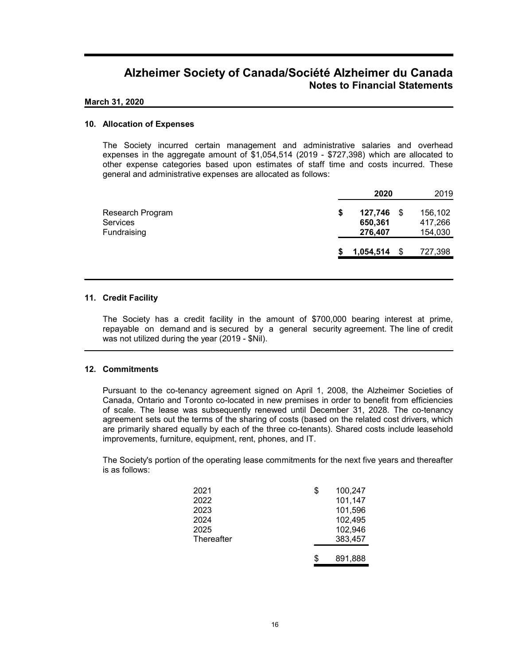### March 31, 2020

## 10. Allocation of Expenses

The Society incurred certain management and administrative salaries and overhead expenses in the aggregate amount of \$1,054,514 (2019 - \$727,398) which are allocated to other expense categories based upon estimates of staff time and costs incurred. These general and administrative expenses are allocated as follows:

|                                             | 2020                                |      | 2019                          |
|---------------------------------------------|-------------------------------------|------|-------------------------------|
| Research Program<br>Services<br>Fundraising | \$<br>127,746<br>650,361<br>276,407 | - \$ | 156,102<br>417,266<br>154,030 |
|                                             | 1,054,514                           | -S   | 727,398                       |

### 11. Credit Facility

The Society has a credit facility in the amount of \$700,000 bearing interest at prime, repayable on demand and is secured by a general security agreement. The line of credit was not utilized during the year (2019 - \$Nil).

# 12. Commitments

Pursuant to the co-tenancy agreement signed on April 1, 2008, the Alzheimer Societies of Canada, Ontario and Toronto co-located in new premises in order to benefit from efficiencies of scale. The lease was subsequently renewed until December 31, 2028. The co-tenancy agreement sets out the terms of the sharing of costs (based on the related cost drivers, which are primarily shared equally by each of the three co-tenants). Shared costs include leasehold improvements, furniture, equipment, rent, phones, and IT.

The Society's portion of the operating lease commitments for the next five years and thereafter is as follows:

| 2021       | \$ | 100,247 |
|------------|----|---------|
| 2022       |    | 101,147 |
| 2023       |    | 101,596 |
| 2024       |    | 102,495 |
| 2025       |    | 102,946 |
| Thereafter |    | 383,457 |
|            |    |         |
|            | S  | 891,888 |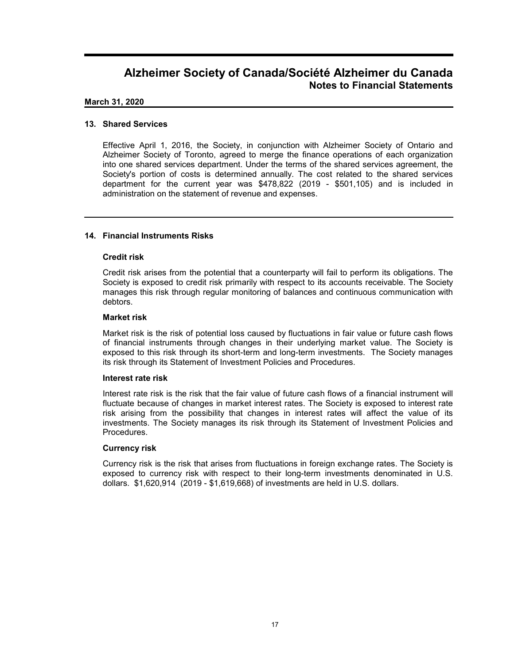# March 31, 2020

# 13. Shared Services

Effective April 1, 2016, the Society, in conjunction with Alzheimer Society of Ontario and Alzheimer Society of Toronto, agreed to merge the finance operations of each organization into one shared services department. Under the terms of the shared services agreement, the Society's portion of costs is determined annually. The cost related to the shared services department for the current year was \$478,822 (2019 - \$501,105) and is included in administration on the statement of revenue and expenses.

## 14. Financial Instruments Risks

### Credit risk

Credit risk arises from the potential that a counterparty will fail to perform its obligations. The Society is exposed to credit risk primarily with respect to its accounts receivable. The Society manages this risk through regular monitoring of balances and continuous communication with debtors.

### Market risk

Market risk is the risk of potential loss caused by fluctuations in fair value or future cash flows of financial instruments through changes in their underlying market value. The Society is exposed to this risk through its short-term and long-term investments. The Society manages its risk through its Statement of Investment Policies and Procedures.

### Interest rate risk

Interest rate risk is the risk that the fair value of future cash flows of a financial instrument will fluctuate because of changes in market interest rates. The Society is exposed to interest rate risk arising from the possibility that changes in interest rates will affect the value of its investments. The Society manages its risk through its Statement of Investment Policies and Procedures.

### Currency risk

Currency risk is the risk that arises from fluctuations in foreign exchange rates. The Society is exposed to currency risk with respect to their long-term investments denominated in U.S. dollars. \$1,620,914 (2019 - \$1,619,668) of investments are held in U.S. dollars.